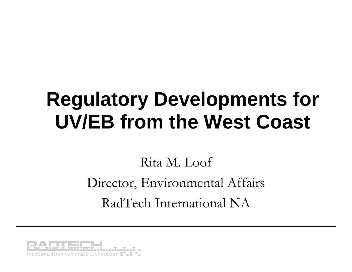# **Regulatory Developments for UV/EB from the West Coast**

#### Rita M. Loof Director, Environmental Affairs RadTech International NA

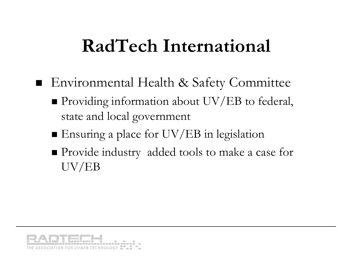#### **RadTech International**

- Environmental Health & Safety Committee
	- **Providing information about UV/EB to federal,** state and local government
	- Ensuring a place for UV/EB in legislation
	- Provide industry added tools to make a case for UV/EB

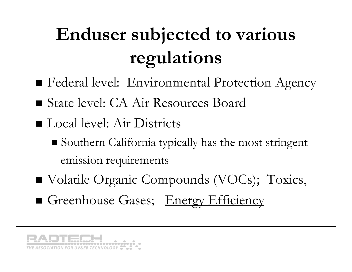# **Enduser subjected to various regulations**

- Federal level: Environmental Protection Agency
- State level: CA Air Resources Board
- Local level: Air Districts
	- Southern California typically has the most stringent emission requirements
- Volatile Organic Compounds (VOCs); Toxics,
- Greenhouse Gases; Energy Efficiency

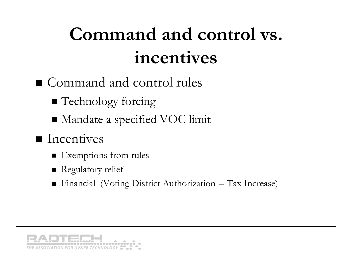## **Command and control vs. incentives**

- Command and control rules
	- **Technology forcing**
	- Mandate a specified VOC limit

#### $\blacksquare$  Incentives

- **Exemptions from rules**
- **Regulatory relief**
- Financial (Voting District Authorization = Tax Increase)

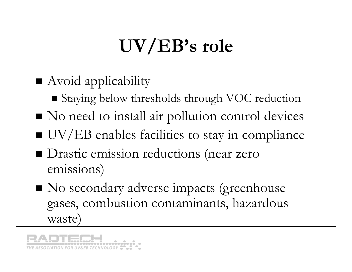# **UV/EB's role**

- **Avoid applicability** 
	- Staying below thresholds through VOC reduction
- No need to install air pollution control devices
- UV/EB enables facilities to stay in compliance
- **D**rastic emission reductions (near zero emissions)
- No secondary adverse impacts (greenhouse gases, combustion contaminants, hazardous waste)

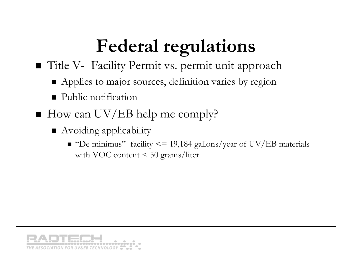## **Federal regulations**

Title V- Facility Permit vs. permit unit approach

- **Applies to major sources, definition varies by region**
- $\blacksquare$ Public notification
- How can UV/EB help me comply?
	- Avoiding applicability
		- $\blacksquare$  "De minimus" facility <= 19,184 gallons/year of UV/EB materials with VOC content < 50 grams/liter

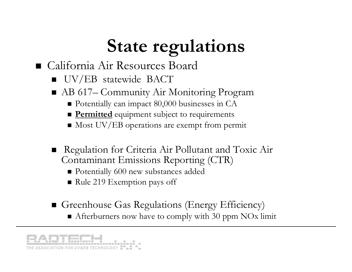# **State regulations**

#### California Air Resources Board

- **UV/EB** statewide BACT
- AB 617– Community Air Monitoring Program
	- Potentially can impact 80,000 businesses in CA
	- **Permitted** equipment subject to requirements
	- Most UV/EB operations are exempt from permit
- Regulation for Criteria Air Pollutant and Toxic Air Contaminant Emissions Reporting (CTR)
	- Potentially 600 new substances added
	- Rule 219 Exemption pays off
- Greenhouse Gas Regulations (Energy Efficiency) Afterburners now have to comply with 30 ppm NOx limit

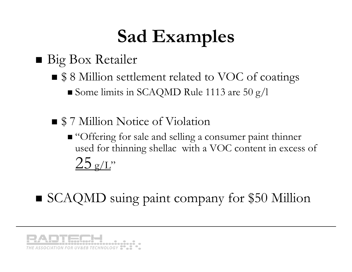## **Sad Examples**

#### ■ Big Box Retailer

- \$ 8 Million settlement related to VOC of coatings  $\blacksquare$  Some limits in SCAQMD Rule 1113 are 50 g/l
- **S** 7 Million Notice of Violation
	- "Offering for sale and selling a consumer paint thinner used for thinning shellac with a VOC content in excess of  $25 \frac{\sigma}{L}$
- SCAQMD suing paint company for \$50 Million

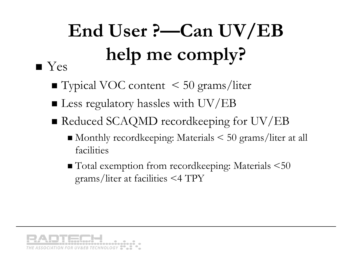#### **End User ?—Can UV/EB help me comply?**  $\blacksquare$  Yes

- Typical VOC content < 50 grams/liter
- $\blacksquare$  Less regulatory hassles with UV/EB
- Reduced SCAQMD recordkeeping for UV/EB
	- Monthly recordkeeping: Materials < 50 grams/liter at all facilities
	- Total exemption from recordkeeping: Materials <50 grams/liter at facilities <4 TPY

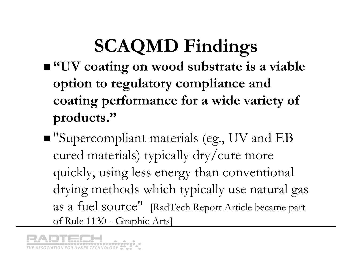# **SCAQMD Findings**

- **"UV coating on wood substrate is a viable option to regulatory compliance and coating performance for a wide variety of products."**
- "Supercompliant materials (eg., UV and EB cured materials) typically dry/cure more quickly, using less energy than conventional drying methods which typically use natural gas as a fuel source" [RadTech Report Article became part of Rule 1130-- Graphic Arts]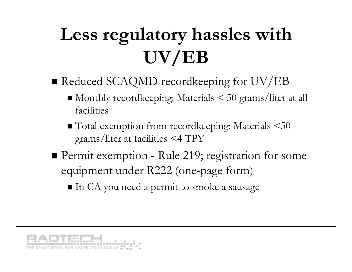# **Less regulatory hassles with UV/EB**

- Reduced SCAQMD recordkeeping for UV/EB
	- Monthly recordkeeping: Materials < 50 grams/liter at all facilities
	- Total exemption from recordkeeping: Materials <50 grams/liter at facilities <4 TPY
- **Permit exemption Rule 219; registration for some** equipment under R222 (one-page form)

 $\blacksquare$  In CA you need a permit to smoke a sausage

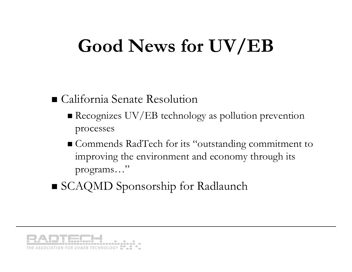## **Good News for UV/EB**

#### California Senate Resolution

- Recognizes UV/EB technology as pollution prevention processes
- Commends RadTech for its "outstanding commitment to improving the environment and economy through its programs…"
- SCAQMD Sponsorship for Radlaunch

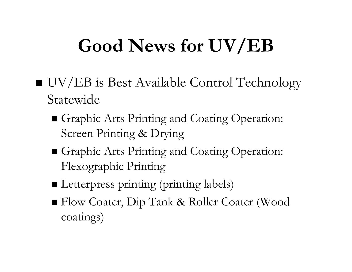## **Good News for UV/EB**

- UV/EB is Best Available Control Technology Statewide
	- Graphic Arts Printing and Coating Operation: Screen Printing & Drying
	- Graphic Arts Printing and Coating Operation: Flexographic Printing
	- **I** Letterpress printing (printing labels)
	- Flow Coater, Dip Tank & Roller Coater (Wood coatings)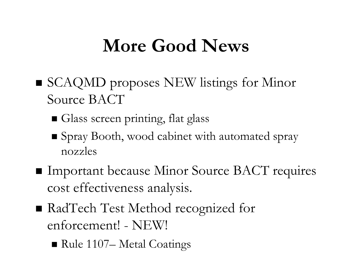#### **More Good News**

- SCAQMD proposes NEW listings for Minor Source BACT
	- Glass screen printing, flat glass
	- Spray Booth, wood cabinet with automated spray nozzles
- **Important because Minor Source BACT requires** cost effectiveness analysis.
- RadTech Test Method recognized for enforcement! - NEW!
	- Rule 1107– Metal Coatings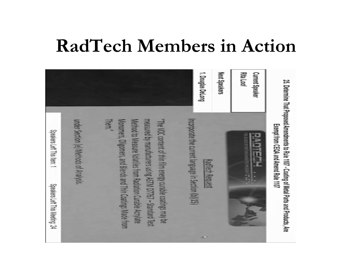#### **RadTech Members in Action**

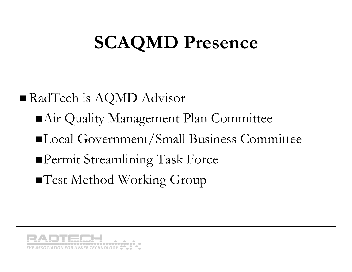## **SCAQMD Presence**

 RadTech is AQMD Advisor Air Quality Management Plan Committee ■Local Government/Small Business Committee Permit Streamlining Task Force ■Test Method Working Group

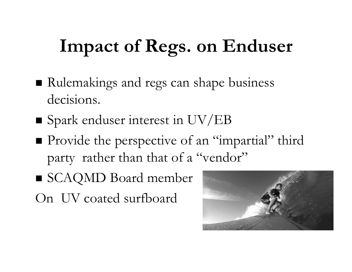## **Impact of Regs. on Enduser**

- Rulemakings and regs can shape business decisions.
- **S** Spark enduser interest in UV/EB
- Provide the perspective of an "impartial" third party rather than that of a "vendor"
- SCAQMD Board member
- On UV coated surfboard

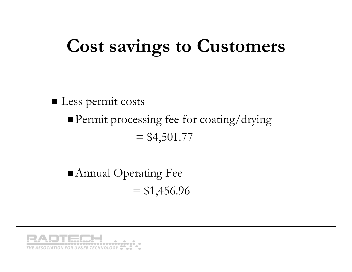## **Cost savings to Customers**

Less permit costs Permit processing fee for coating/drying  $= $4,501.77$ 

 Annual Operating Fee  $= $1,456.96$ 

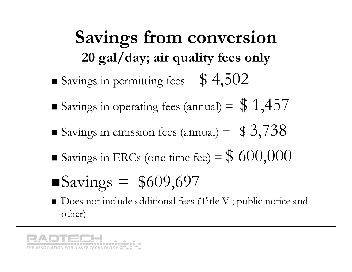**Savings from conversion 20 gal/day; air quality fees only** Savings in permitting fees =  $\$$  4,502

- Savings in operating fees (annual) =  $$1,457$
- Savings in emission fees (annual) =  $$3,738$
- Savings in ERCs (one time fee) =  $$600,000$
- $\blacksquare$ Savings = \$609,697
- Does not include additional fees (Title V ; public notice and other)

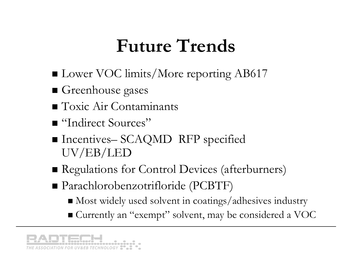### **Future Trends**

- Lower VOC limits/More reporting AB617
- Greenhouse gases
- **T**oxic Air Contaminants
- "Indirect Sources"
- Incentives– SCAQMD RFP specified UV/EB/LED
- Regulations for Control Devices (afterburners)
- Parachlorobenzotrifloride (PCBTF)
	- Most widely used solvent in coatings/adhesives industry
	- Currently an "exempt" solvent, may be considered a VOC

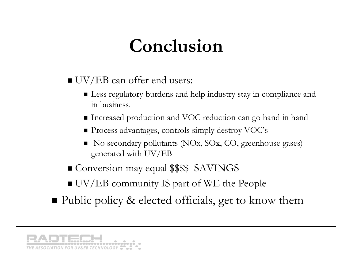### **Conclusion**

- $\blacksquare$  UV/EB can offer end users:
	- Less regulatory burdens and help industry stay in compliance and in business.
	- $\blacksquare$  Increased production and VOC reduction can go hand in hand
	- Process advantages, controls simply destroy VOC's
	- No secondary pollutants (NOx, SOx, CO, greenhouse gases) generated with UV/EB
- Conversion may equal \$\$\$\$ SAVINGS
- UV/EB community IS part of WE the People
- Public policy & elected officials, get to know them